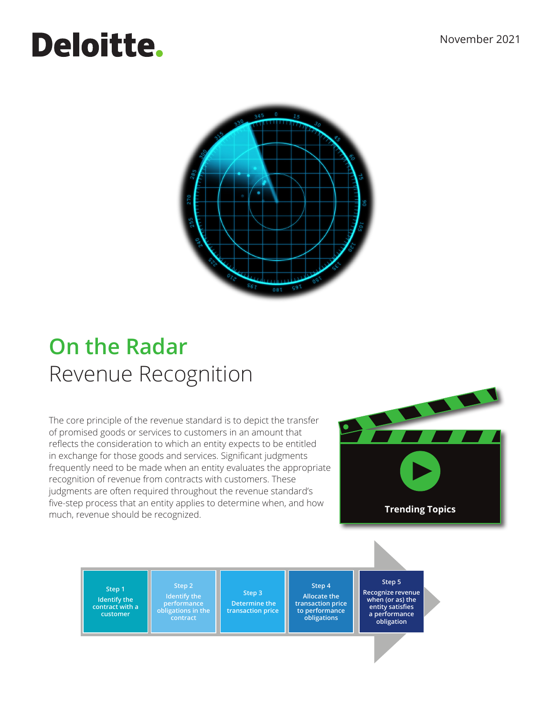# **Deloitte.**



# **On the Radar**  Revenue Recognition

The core principle of the revenue standard is to depict the transfer of promised goods or services to customers in an amount that reflects the consideration to which an entity expects to be entitled in exchange for those goods and services. Significant judgments frequently need to be made when an entity evaluates the appropriate recognition of revenue from contracts with customers. These judgments are often required throughout the revenue standard's five-step process that an entity applies to determine when, and how much, revenue should be recognized.



**Step 1 Identify the contract with a customer** 

**Step 2 Identify the performance obligations in the contract**

**Step 3 Determine the transaction price** 

**Step 4 Allocate the transaction price to performance obligations**

**Step 5 Recognize revenue when (or as) the entity satisfies a performance obligation**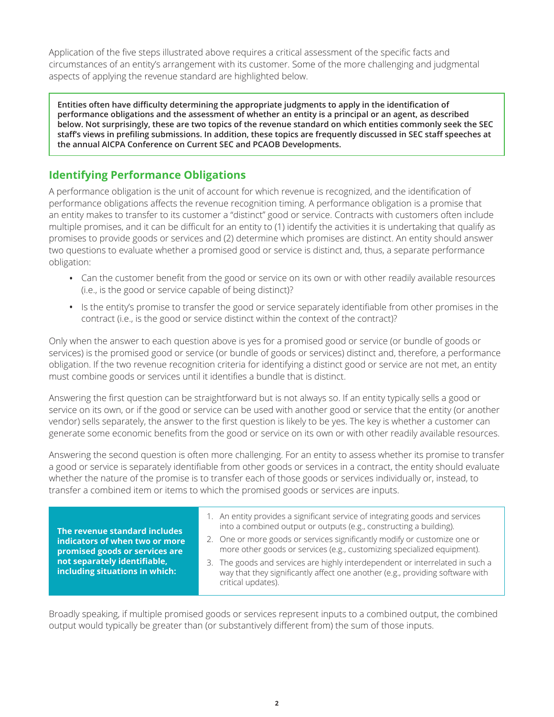Application of the five steps illustrated above requires a critical assessment of the specific facts and circumstances of an entity's arrangement with its customer. Some of the more challenging and judgmental aspects of applying the revenue standard are highlighted below.

**Entities often have difficulty determining the appropriate judgments to apply in the identification of performance obligations and the assessment of whether an entity is a principal or an agent, as described below. Not surprisingly, these are two topics of the revenue standard on which entities commonly seek the SEC staff's views in prefiling submissions. In addition, these topics are frequently discussed in SEC staff speeches at the annual AICPA Conference on Current SEC and PCAOB Developments.**

# **Identifying Performance Obligations**

A performance obligation is the unit of account for which revenue is recognized, and the identification of performance obligations affects the revenue recognition timing. A performance obligation is a promise that an entity makes to transfer to its customer a "distinct" good or service. Contracts with customers often include multiple promises, and it can be difficult for an entity to (1) identify the activities it is undertaking that qualify as promises to provide goods or services and (2) determine which promises are distinct. An entity should answer two questions to evaluate whether a promised good or service is distinct and, thus, a separate performance obligation:

- Can the customer benefit from the good or service on its own or with other readily available resources (i.e., is the good or service capable of being distinct)?
- Is the entity's promise to transfer the good or service separately identifiable from other promises in the contract (i.e., is the good or service distinct within the context of the contract)?

Only when the answer to each question above is yes for a promised good or service (or bundle of goods or services) is the promised good or service (or bundle of goods or services) distinct and, therefore, a performance obligation. If the two revenue recognition criteria for identifying a distinct good or service are not met, an entity must combine goods or services until it identifies a bundle that is distinct.

Answering the first question can be straightforward but is not always so. If an entity typically sells a good or service on its own, or if the good or service can be used with another good or service that the entity (or another vendor) sells separately, the answer to the first question is likely to be yes. The key is whether a customer can generate some economic benefits from the good or service on its own or with other readily available resources.

Answering the second question is often more challenging. For an entity to assess whether its promise to transfer a good or service is separately identifiable from other goods or services in a contract, the entity should evaluate whether the nature of the promise is to transfer each of those goods or services individually or, instead, to transfer a combined item or items to which the promised goods or services are inputs.

**The revenue standard includes indicators of when two or more promised goods or services are not separately identifiable, including situations in which:**

- 1. An entity provides a significant service of integrating goods and services into a combined output or outputs (e.g., constructing a building).
- 2. One or more goods or services significantly modify or customize one or more other goods or services (e.g., customizing specialized equipment).
- 3. The goods and services are highly interdependent or interrelated in such a way that they significantly affect one another (e.g., providing software with critical updates).

Broadly speaking, if multiple promised goods or services represent inputs to a combined output, the combined output would typically be greater than (or substantively different from) the sum of those inputs.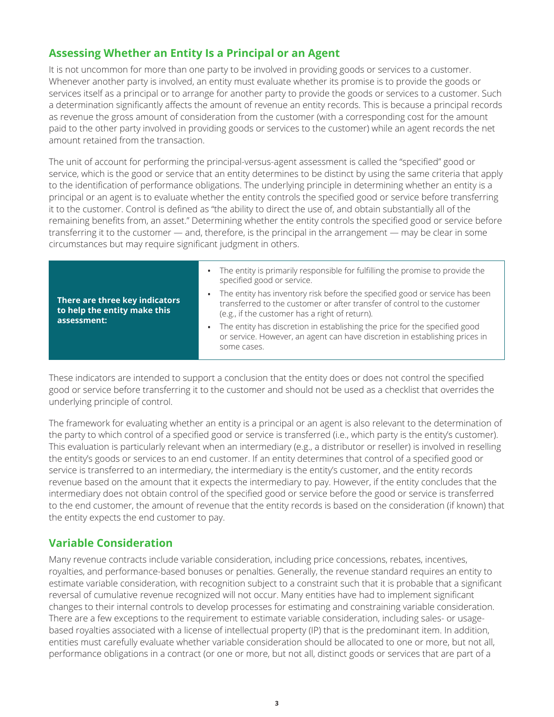### **Assessing Whether an Entity Is a Principal or an Agent**

It is not uncommon for more than one party to be involved in providing goods or services to a customer. Whenever another party is involved, an entity must evaluate whether its promise is to provide the goods or services itself as a principal or to arrange for another party to provide the goods or services to a customer. Such a determination significantly affects the amount of revenue an entity records. This is because a principal records as revenue the gross amount of consideration from the customer (with a corresponding cost for the amount paid to the other party involved in providing goods or services to the customer) while an agent records the net amount retained from the transaction.

The unit of account for performing the principal-versus-agent assessment is called the "specified" good or service, which is the good or service that an entity determines to be distinct by using the same criteria that apply to the identification of performance obligations. The underlying principle in determining whether an entity is a principal or an agent is to evaluate whether the entity controls the specified good or service before transferring it to the customer. Control is defined as "the ability to direct the use of, and obtain substantially all of the remaining benefits from, an asset." Determining whether the entity controls the specified good or service before transferring it to the customer — and, therefore, is the principal in the arrangement — may be clear in some circumstances but may require significant judgment in others.

| There are three key indicators<br>to help the entity make this<br>assessment: | The entity is primarily responsible for fulfilling the promise to provide the<br>specified good or service.                                                                                               |
|-------------------------------------------------------------------------------|-----------------------------------------------------------------------------------------------------------------------------------------------------------------------------------------------------------|
|                                                                               | The entity has inventory risk before the specified good or service has been<br>transferred to the customer or after transfer of control to the customer<br>(e.g., if the customer has a right of return). |
|                                                                               | The entity has discretion in establishing the price for the specified good<br>or service. However, an agent can have discretion in establishing prices in<br>some cases.                                  |

These indicators are intended to support a conclusion that the entity does or does not control the specified good or service before transferring it to the customer and should not be used as a checklist that overrides the underlying principle of control.

The framework for evaluating whether an entity is a principal or an agent is also relevant to the determination of the party to which control of a specified good or service is transferred (i.e., which party is the entity's customer). This evaluation is particularly relevant when an intermediary (e.g., a distributor or reseller) is involved in reselling the entity's goods or services to an end customer. If an entity determines that control of a specified good or service is transferred to an intermediary, the intermediary is the entity's customer, and the entity records revenue based on the amount that it expects the intermediary to pay. However, if the entity concludes that the intermediary does not obtain control of the specified good or service before the good or service is transferred to the end customer, the amount of revenue that the entity records is based on the consideration (if known) that the entity expects the end customer to pay.

#### **Variable Consideration**

Many revenue contracts include variable consideration, including price concessions, rebates, incentives, royalties, and performance-based bonuses or penalties. Generally, the revenue standard requires an entity to estimate variable consideration, with recognition subject to a constraint such that it is probable that a significant reversal of cumulative revenue recognized will not occur. Many entities have had to implement significant changes to their internal controls to develop processes for estimating and constraining variable consideration. There are a few exceptions to the requirement to estimate variable consideration, including sales- or usagebased royalties associated with a license of intellectual property (IP) that is the predominant item. In addition, entities must carefully evaluate whether variable consideration should be allocated to one or more, but not all, performance obligations in a contract (or one or more, but not all, distinct goods or services that are part of a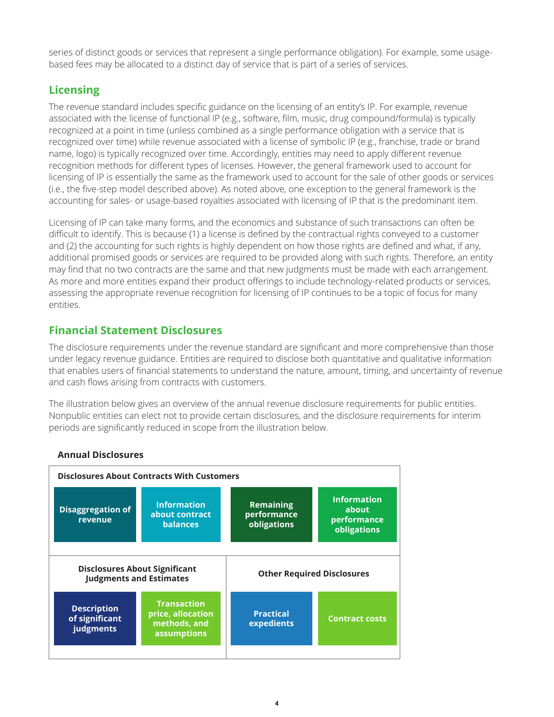series of distinct goods or services that represent a single performance obligation). For example, some usagebased fees may be allocated to a distinct day of service that is part of a series of services.

# **Licensing**

The revenue standard includes specific guidance on the licensing of an entity's IP. For example, revenue associated with the license of functional IP (e.g., software, film, music, drug compound/formula) is typically recognized at a point in time (unless combined as a single performance obligation with a service that is recognized over time) while revenue associated with a license of symbolic IP (e.g., franchise, trade or brand name, logo) is typically recognized over time. Accordingly, entities may need to apply different revenue recognition methods for different types of licenses. However, the general framework used to account for licensing of IP is essentially the same as the framework used to account for the sale of other goods or services (i.e., the five-step model described above). As noted above, one exception to the general framework is the accounting for sales- or usage-based royalties associated with licensing of IP that is the predominant item.

Licensing of IP can take many forms, and the economics and substance of such transactions can often be difficult to identify. This is because (1) a license is defined by the contractual rights conveyed to a customer and (2) the accounting for such rights is highly dependent on how those rights are defined and what, if any, additional promised goods or services are required to be provided along with such rights. Therefore, an entity may find that no two contracts are the same and that new judgments must be made with each arrangement. As more and more entities expand their product offerings to include technology-related products or services, assessing the appropriate revenue recognition for licensing of IP continues to be a topic of focus for many entities.

# **Financial Statement Disclosures**

The disclosure requirements under the revenue standard are significant and more comprehensive than those under legacy revenue guidance. Entities are required to disclose both quantitative and qualitative information that enables users of financial statements to understand the nature, amount, timing, and uncertainty of revenue and cash flows arising from contracts with customers.

The illustration below gives an overview of the annual revenue disclosure requirements for public entities. Nonpublic entities can elect not to provide certain disclosures, and the disclosure requirements for interim periods are significantly reduced in scope from the illustration below.



#### **Annual Disclosures**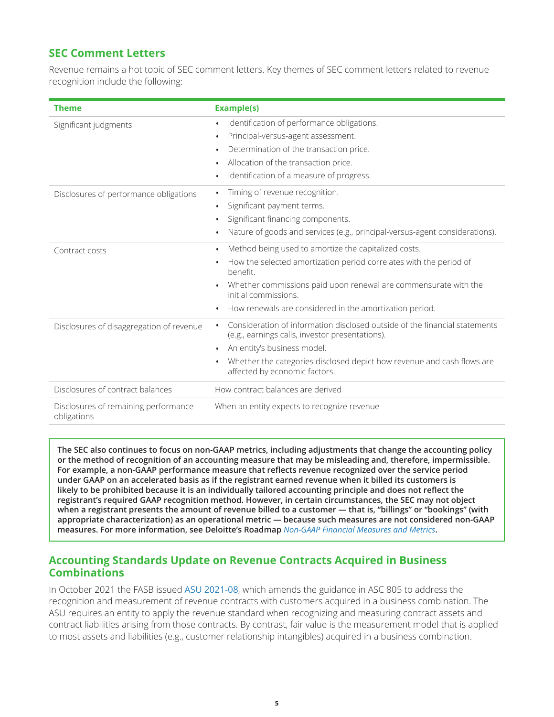#### **SEC Comment Letters**

Revenue remains a hot topic of SEC comment letters. Key themes of SEC comment letters related to revenue recognition include the following:

| <b>Theme</b>                                        | <b>Example(s)</b>                                                                                                                          |
|-----------------------------------------------------|--------------------------------------------------------------------------------------------------------------------------------------------|
| Significant judgments                               | Identification of performance obligations.<br>$\bullet$                                                                                    |
|                                                     | Principal-versus-agent assessment.<br>$\bullet$                                                                                            |
|                                                     | Determination of the transaction price.<br>$\bullet$                                                                                       |
|                                                     | Allocation of the transaction price.<br>$\bullet$<br>Identification of a measure of progress.                                              |
|                                                     | $\bullet$                                                                                                                                  |
| Disclosures of performance obligations              | Timing of revenue recognition.<br>$\bullet$                                                                                                |
|                                                     | Significant payment terms.<br>$\bullet$                                                                                                    |
|                                                     | Significant financing components.                                                                                                          |
|                                                     | Nature of goods and services (e.g., principal-versus-agent considerations).<br>$\bullet$                                                   |
| Contract costs                                      | Method being used to amortize the capitalized costs.<br>$\bullet$                                                                          |
|                                                     | How the selected amortization period correlates with the period of<br>$\bullet$<br>henefit                                                 |
|                                                     | Whether commissions paid upon renewal are commensurate with the<br>$\bullet$<br>initial commissions.                                       |
|                                                     | How renewals are considered in the amortization period.<br>$\bullet$                                                                       |
| Disclosures of disaggregation of revenue            | Consideration of information disclosed outside of the financial statements<br>$\bullet$<br>(e.g., earnings calls, investor presentations). |
|                                                     | An entity's business model.<br>$\bullet$                                                                                                   |
|                                                     | Whether the categories disclosed depict how revenue and cash flows are<br>$\bullet$<br>affected by economic factors.                       |
| Disclosures of contract balances                    | How contract balances are derived                                                                                                          |
| Disclosures of remaining performance<br>obligations | When an entity expects to recognize revenue                                                                                                |

**The SEC also continues to focus on non-GAAP metrics, including adjustments that change the accounting policy or the method of recognition of an accounting measure that may be misleading and, therefore, impermissible. For example, a non-GAAP performance measure that reflects revenue recognized over the service period under GAAP on an accelerated basis as if the registrant earned revenue when it billed its customers is likely to be prohibited because it is an individually tailored accounting principle and does not reflect the registrant's required GAAP recognition method. However, in certain circumstances, the SEC may not object when a registrant presents the amount of revenue billed to a customer — that is, "billings" or "bookings" (with appropriate characterization) as an operational metric — because such measures are not considered non-GAAP measures. For more information, see Deloitte's Roadmap** *Non-GAAP Financial Measures and Metrics***.**

#### **Accounting Standards Update on Revenue Contracts Acquired in Business Combinations**

In October 2021 the FASB issued ASU 2021-08, which amends the guidance in ASC 805 to address the recognition and measurement of revenue contracts with customers acquired in a business combination. The ASU requires an entity to apply the revenue standard when recognizing and measuring contract assets and contract liabilities arising from those contracts. By contrast, fair value is the measurement model that is applied to most assets and liabilities (e.g., customer relationship intangibles) acquired in a business combination.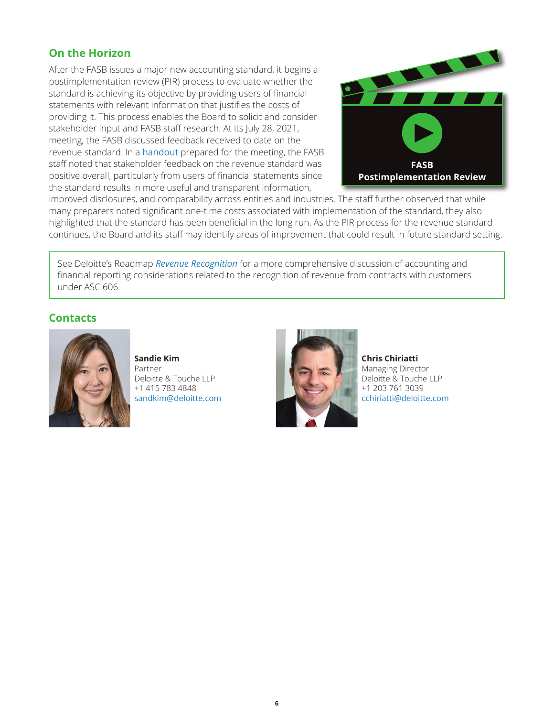#### **On the Horizon**

After the FASB issues a major new accounting standard, it begins a postimplementation review (PIR) process to evaluate whether the standard is achieving its objective by providing users of financial statements with relevant information that justifies the costs of providing it. This process enables the Board to solicit and consider stakeholder input and FASB staff research. At its July 28, 2021, meeting, the FASB discussed feedback received to date on the revenue standard. In a handout prepared for the meeting, the FASB staff noted that stakeholder feedback on the revenue standard was positive overall, particularly from users of financial statements since the standard results in more useful and transparent information,



improved disclosures, and comparability across entities and industries. The staff further observed that while many preparers noted significant one-time costs associated with implementation of the standard, they also highlighted that the standard has been beneficial in the long run. As the PIR process for the revenue standard continues, the Board and its staff may identify areas of improvement that could result in future standard setting.

See Deloitte's Roadmap *Revenue Recognition* for a more comprehensive discussion of accounting and financial reporting considerations related to the recognition of revenue from contracts with customers under ASC 606.

#### **Contacts**



**Sandie Kim** Partner Deloitte & Touche LLP +1 415 783 4848 sandkim@deloitte.com



**Chris Chiriatti** Managing Director Deloitte & Touche LLP +1 203 761 3039 cchiriatti@deloitte.com